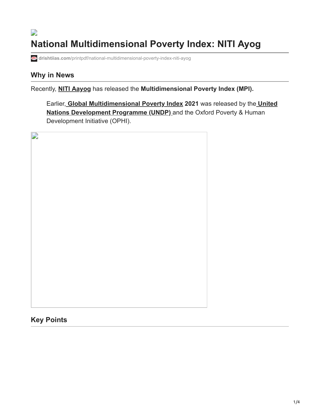# $\overline{\phantom{a}}$ **National Multidimensional Poverty Index: NITI Ayog**

**drishtiias.com**[/printpdf/national-multidimensional-poverty-index-niti-ayog](https://www.drishtiias.com/printpdf/national-multidimensional-poverty-index-niti-ayog)

## **Why in News**

Recently, **[NITI Aayog](https://www.drishtiias.com/important-institutions/drishti-specials-important-institutions-national-institutions/niti-aayog-national-institution-for-transforming-india)** has released the **Multidimensional Poverty Index (MPI).**

Earlier, **[Global Multidimensional Poverty Inde](https://www.drishtiias.com/daily-updates/daily-news-analysis/global-multidimensional-poverty-index-2020)[x 2021](https://www.drishtiias.com/important-institutions/drishti-specials-important-institutions-international-institution/united-nations-1)** was released by the **United Nations Development Programme (UNDP)** and the Oxford Poverty & Human Development Initiative (OPHI).



## **Key Points**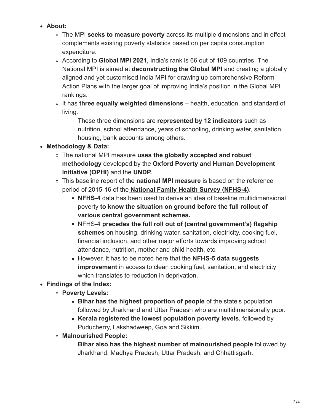- **About:**
	- The MPI **seeks to measure poverty** across its multiple dimensions and in effect complements existing poverty statistics based on per capita consumption expenditure.
	- According to **Global MPI 2021,** India's rank is 66 out of 109 countries. The National MPI is aimed at **deconstructing the Global MPI** and creating a globally aligned and yet customised India MPI for drawing up comprehensive Reform Action Plans with the larger goal of improving India's position in the Global MPI rankings.
	- It has **three equally weighted dimensions** health, education, and standard of living.

These three dimensions are **represented by 12 indicators** such as nutrition, school attendance, years of schooling, drinking water, sanitation, housing, bank accounts among others.

### **Methodology & Data:**

- The national MPI measure **uses the globally accepted and robust methodology** developed by the **Oxford Poverty and Human Development Initiative (OPHI)** and the **UNDP.**
- This baseline report of the **national MPI measure** is based on the reference period of 2015-16 of the **[National Family Health Survey \(NFHS-4\)](https://www.drishtiias.com/to-the-points/Paper2/national-family-health-survey-5-1)**.
	- **NFHS-4** data has been used to derive an idea of baseline multidimensional poverty **to know the situation on ground before the full rollout of various central government schemes.**
	- NFHS-4 **precedes the full roll out of (central government's) flagship schemes** on housing, drinking water, sanitation, electricity, cooking fuel, financial inclusion, and other major efforts towards improving school attendance, nutrition, mother and child health, etc.
	- However, it has to be noted here that the **NFHS-5 data suggests improvement** in access to clean cooking fuel, sanitation, and electricity which translates to reduction in deprivation.
- **Findings of the Index:**
	- **Poverty Levels:**
		- **Bihar has the highest proportion of people** of the state's population followed by Jharkhand and Uttar Pradesh who are multidimensionally poor.
		- **Kerala registered the lowest population poverty levels**, followed by Puducherry, Lakshadweep, Goa and Sikkim.
	- **Malnourished People:**

**Bihar also has the highest number of malnourished people** followed by Jharkhand, Madhya Pradesh, Uttar Pradesh, and Chhattisgarh.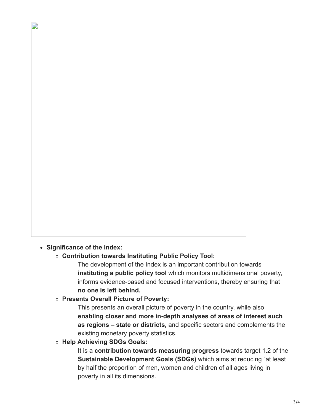### **Significance of the Index:**

 $\mathbf{L}$ 

### **Contribution towards Instituting Public Policy Tool:**

The development of the Index is an important contribution towards **instituting a public policy tool** which monitors multidimensional poverty, informs evidence-based and focused interventions, thereby ensuring that **no one is left behind.**

#### **Presents Overall Picture of Poverty:**

This presents an overall picture of poverty in the country, while also **enabling closer and more in-depth analyses of areas of interest such as regions – state or districts,** and specific sectors and complements the existing monetary poverty statistics.

#### **Help Achieving SDGs Goals:**

It is a **contribution towards measuring progress** towards target 1.2 of the **[Sustainable Development Goals \(SDGs\)](https://www.drishtiias.com/to-the-points/paper3/sustainable-development-3)** which aims at reducing "at least by half the proportion of men, women and children of all ages living in poverty in all its dimensions.